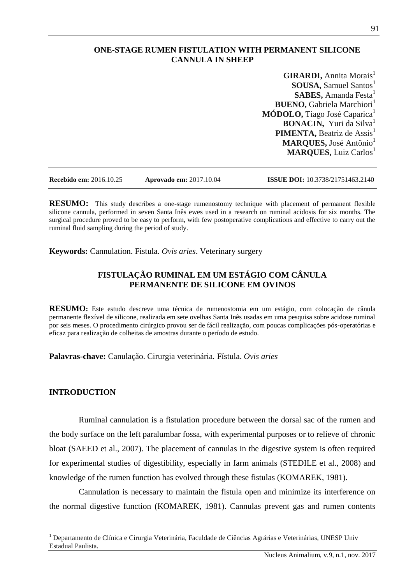### **ONE-STAGE RUMEN FISTULATION WITH PERMANENT SILICONE CANNULA IN SHEEP**

**GIRARDI, Annita Morais<sup>1</sup> SOUSA, Samuel Santos<sup>1</sup> SABES, Amanda Festa<sup>1</sup> BUENO, Gabriela Marchiori**<sup>1</sup> **MÓDOLO, Tiago José Caparica**<sup>1</sup> **BONACIN,** Yuri da Silva<sup>1</sup> **PIMENTA, Beatriz de Assis<sup>1</sup> MARQUES**, José Antônio<sup>1</sup> **MARQUES, Luiz Carlos** 

**Recebido em:** 2016.10.25 **Aprovado em:** 2017.10.04 **ISSUE DOI:** 10.3738/21751463.2140

**RESUMO:** This study describes a one-stage rumenostomy technique with placement of permanent flexible silicone cannula, performed in seven Santa Inês ewes used in a research on ruminal acidosis for six months. The surgical procedure proved to be easy to perform, with few postoperative complications and effective to carry out the ruminal fluid sampling during the period of study.

**Keywords:** Cannulation. Fistula. *Ovis aries*. Veterinary surgery

## **FISTULAÇÃO RUMINAL EM UM ESTÁGIO COM CÂNULA PERMANENTE DE SILICONE EM OVINOS**

**RESUMO:** Este estudo descreve uma técnica de rumenostomia em um estágio, com colocação de cânula permanente flexível de silicone, realizada em sete ovelhas Santa Inês usadas em uma pesquisa sobre acidose ruminal por seis meses. O procedimento cirúrgico provou ser de fácil realização, com poucas complicações pós-operatórias e eficaz para realização de colheitas de amostras durante o período de estudo.

**Palavras-chave:** Canulação. Cirurgia veterinária. Fístula. *Ovis aries*

#### **INTRODUCTION**

 $\overline{a}$ 

Ruminal cannulation is a fistulation procedure between the dorsal sac of the rumen and the body surface on the left paralumbar fossa, with experimental purposes or to relieve of chronic bloat (SAEED et al., 2007). The placement of cannulas in the digestive system is often required for experimental studies of digestibility, especially in farm animals (STEDILE et al., 2008) and knowledge of the rumen function has evolved through these fistulas (KOMAREK, 1981).

Cannulation is necessary to maintain the fistula open and minimize its interference on the normal digestive function (KOMAREK, 1981). Cannulas prevent gas and rumen contents

<sup>&</sup>lt;sup>1</sup> Departamento de Clínica e Cirurgia Veterinária, Faculdade de Ciências Agrárias e Veterinárias, UNESP Univ Estadual Paulista.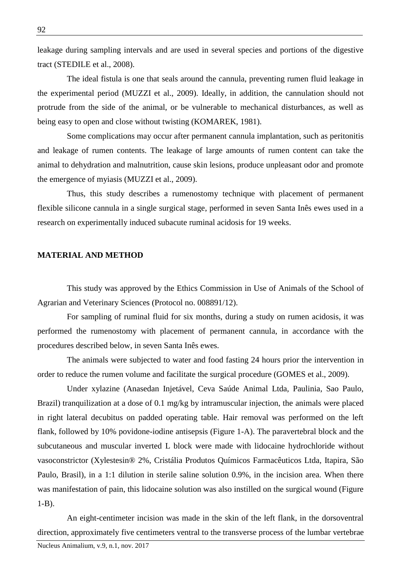leakage during sampling intervals and are used in several species and portions of the digestive tract (STEDILE et al., 2008).

The ideal fistula is one that seals around the cannula, preventing rumen fluid leakage in the experimental period (MUZZI et al., 2009). Ideally, in addition, the cannulation should not protrude from the side of the animal, or be vulnerable to mechanical disturbances, as well as being easy to open and close without twisting (KOMAREK, 1981).

Some complications may occur after permanent cannula implantation, such as peritonitis and leakage of rumen contents. The leakage of large amounts of rumen content can take the animal to dehydration and malnutrition, cause skin lesions, produce unpleasant odor and promote the emergence of myiasis (MUZZI et al., 2009).

Thus, this study describes a rumenostomy technique with placement of permanent flexible silicone cannula in a single surgical stage, performed in seven Santa Inês ewes used in a research on experimentally induced subacute ruminal acidosis for 19 weeks.

### **MATERIAL AND METHOD**

This study was approved by the Ethics Commission in Use of Animals of the School of Agrarian and Veterinary Sciences (Protocol no. 008891/12).

For sampling of ruminal fluid for six months, during a study on rumen acidosis, it was performed the rumenostomy with placement of permanent cannula, in accordance with the procedures described below, in seven Santa Inês ewes.

The animals were subjected to water and food fasting 24 hours prior the intervention in order to reduce the rumen volume and facilitate the surgical procedure (GOMES et al., 2009).

Under xylazine (Anasedan Injetável, Ceva Saúde Animal Ltda, Paulinia, Sao Paulo, Brazil) tranquilization at a dose of 0.1 mg/kg by intramuscular injection, the animals were placed in right lateral decubitus on padded operating table. Hair removal was performed on the left flank, followed by 10% povidone-iodine antisepsis (Figure 1-A). The paravertebral block and the subcutaneous and muscular inverted L block were made with lidocaine hydrochloride without vasoconstrictor (Xylestesin® 2%, Cristália Produtos Químicos Farmacêuticos Ltda, Itapira, São Paulo, Brasil), in a 1:1 dilution in sterile saline solution 0.9%, in the incision area. When there was manifestation of pain, this lidocaine solution was also instilled on the surgical wound (Figure 1-B).

An eight-centimeter incision was made in the skin of the left flank, in the dorsoventral direction, approximately five centimeters ventral to the transverse process of the lumbar vertebrae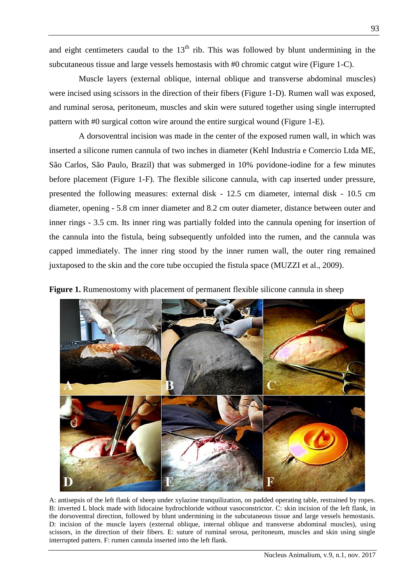and eight centimeters caudal to the  $13<sup>th</sup>$  rib. This was followed by blunt undermining in the subcutaneous tissue and large vessels hemostasis with #0 chromic catgut wire (Figure 1-C).

Muscle layers (external oblique, internal oblique and transverse abdominal muscles) were incised using scissors in the direction of their fibers (Figure 1-D). Rumen wall was exposed, and ruminal serosa, peritoneum, muscles and skin were sutured together using single interrupted pattern with #0 surgical cotton wire around the entire surgical wound (Figure 1-E).

A dorsoventral incision was made in the center of the exposed rumen wall, in which was inserted a silicone rumen cannula of two inches in diameter (Kehl Industria e Comercio Ltda ME, São Carlos, São Paulo, Brazil) that was submerged in 10% povidone-iodine for a few minutes before placement (Figure 1-F). The flexible silicone cannula, with cap inserted under pressure, presented the following measures: external disk - 12.5 cm diameter, internal disk - 10.5 cm diameter, opening - 5.8 cm inner diameter and 8.2 cm outer diameter, distance between outer and inner rings - 3.5 cm. Its inner ring was partially folded into the cannula opening for insertion of the cannula into the fistula, being subsequently unfolded into the rumen, and the cannula was capped immediately. The inner ring stood by the inner rumen wall, the outer ring remained juxtaposed to the skin and the core tube occupied the fistula space (MUZZI et al., 2009).





A: antisepsis of the left flank of sheep under xylazine tranquilization, on padded operating table, restrained by ropes. B: inverted L block made with lidocaine hydrochloride without vasoconstrictor. C: skin incision of the left flank, in the dorsoventral direction, followed by blunt undermining in the subcutaneous tissue and large vessels hemostasis. D: incision of the muscle layers (external oblique, internal oblique and transverse abdominal muscles), using scissors, in the direction of their fibers. E: suture of ruminal serosa, peritoneum, muscles and skin using single interrupted pattern. F: rumen cannula inserted into the left flank.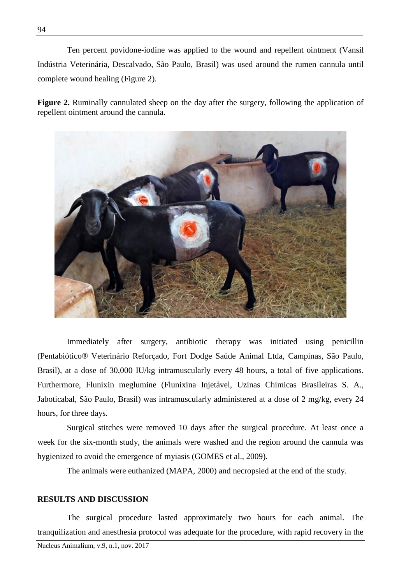Ten percent povidone-iodine was applied to the wound and repellent ointment (Vansil Indústria Veterinária, Descalvado, São Paulo, Brasil) was used around the rumen cannula until complete wound healing (Figure 2).

**Figure 2.** Ruminally cannulated sheep on the day after the surgery, following the application of repellent ointment around the cannula.



Immediately after surgery, antibiotic therapy was initiated using penicillin (Pentabiótico® Veterinário Reforçado, Fort Dodge Saúde Animal Ltda, Campinas, São Paulo, Brasil), at a dose of 30,000 IU/kg intramuscularly every 48 hours, a total of five applications. Furthermore, Flunixin meglumine (Flunixina Injetável, Uzinas Chimicas Brasileiras S. A., Jaboticabal, São Paulo, Brasil) was intramuscularly administered at a dose of 2 mg/kg, every 24 hours, for three days.

Surgical stitches were removed 10 days after the surgical procedure. At least once a week for the six-month study, the animals were washed and the region around the cannula was hygienized to avoid the emergence of myiasis (GOMES et al., 2009).

The animals were euthanized (MAPA, 2000) and necropsied at the end of the study.

#### **RESULTS AND DISCUSSION**

The surgical procedure lasted approximately two hours for each animal. The tranquilization and anesthesia protocol was adequate for the procedure, with rapid recovery in the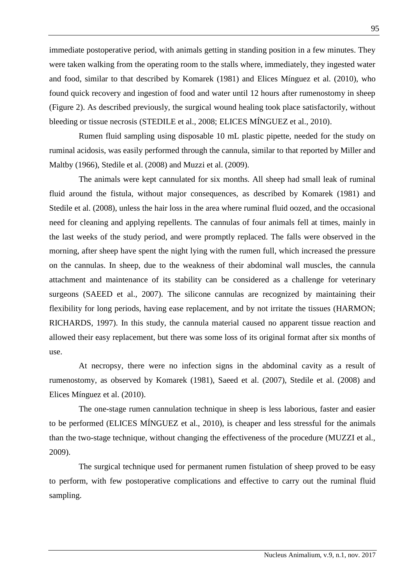immediate postoperative period, with animals getting in standing position in a few minutes. They were taken walking from the operating room to the stalls where, immediately, they ingested water and food, similar to that described by Komarek (1981) and Elices Mínguez et al. (2010), who found quick recovery and ingestion of food and water until 12 hours after rumenostomy in sheep (Figure 2). As described previously, the surgical wound healing took place satisfactorily, without bleeding or tissue necrosis (STEDILE et al., 2008; ELICES MÍNGUEZ et al., 2010).

Rumen fluid sampling using disposable 10 mL plastic pipette, needed for the study on ruminal acidosis, was easily performed through the cannula, similar to that reported by Miller and Maltby (1966), Stedile et al. (2008) and Muzzi et al. (2009).

The animals were kept cannulated for six months. All sheep had small leak of ruminal fluid around the fistula, without major consequences, as described by Komarek (1981) and Stedile et al. (2008), unless the hair loss in the area where ruminal fluid oozed, and the occasional need for cleaning and applying repellents. The cannulas of four animals fell at times, mainly in the last weeks of the study period, and were promptly replaced. The falls were observed in the morning, after sheep have spent the night lying with the rumen full, which increased the pressure on the cannulas. In sheep, due to the weakness of their abdominal wall muscles, the cannula attachment and maintenance of its stability can be considered as a challenge for veterinary surgeons (SAEED et al., 2007). The silicone cannulas are recognized by maintaining their flexibility for long periods, having ease replacement, and by not irritate the tissues (HARMON; RICHARDS, 1997). In this study, the cannula material caused no apparent tissue reaction and allowed their easy replacement, but there was some loss of its original format after six months of use.

At necropsy, there were no infection signs in the abdominal cavity as a result of rumenostomy, as observed by Komarek (1981), Saeed et al. (2007), Stedile et al. (2008) and Elices Mínguez et al. (2010).

The one-stage rumen cannulation technique in sheep is less laborious, faster and easier to be performed (ELICES MÍNGUEZ et al., 2010), is cheaper and less stressful for the animals than the two-stage technique, without changing the effectiveness of the procedure (MUZZI et al., 2009).

The surgical technique used for permanent rumen fistulation of sheep proved to be easy to perform, with few postoperative complications and effective to carry out the ruminal fluid sampling.